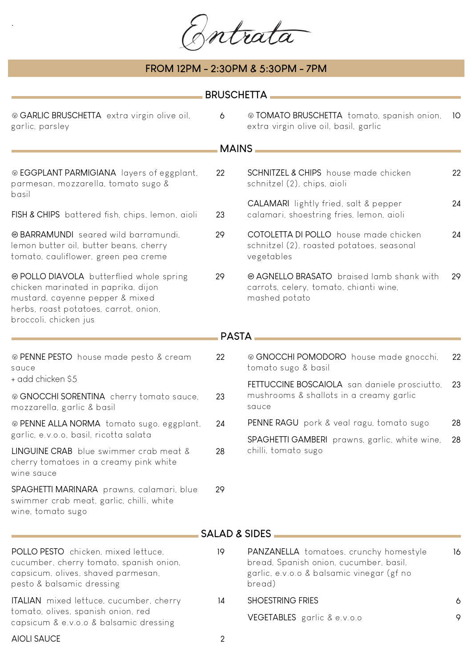Bortrata

## **FROM 12PM - 2:30PM & 5:30PM - 7PM**

.

| <b>BRUSCHETTA</b>                                                                                                                                                                    |    |                                                                                                                                         |      |  |  |
|--------------------------------------------------------------------------------------------------------------------------------------------------------------------------------------|----|-----------------------------------------------------------------------------------------------------------------------------------------|------|--|--|
| ® GARLIC BRUSCHETTA extra virgin olive oil,<br>garlic, parsley                                                                                                                       | 6  | © TOMATO BRUSCHETTA tomato, spanish onion,<br>extra virgin olive oil, basil, garlic                                                     | - 10 |  |  |
|                                                                                                                                                                                      |    | <b>MAINS</b>                                                                                                                            |      |  |  |
| ® EGGPLANT PARMIGIANA layers of eggplant,<br>parmesan, mozzarella, tomato sugo &<br>basil                                                                                            | 22 | SCHNITZEL & CHIPS house made chicken<br>schnitzel (2), chips, aioli                                                                     | 22   |  |  |
| FISH & CHIPS battered fish, chips, lemon, aioli                                                                                                                                      | 23 | <b>CALAMARI</b> lightly fried, salt & pepper<br>calamari, shoestring fries, lemon, aioli                                                | 24   |  |  |
| <b>@BARRAMUNDI</b> seared wild barramundi.<br>lemon butter oil, butter beans, cherry<br>tomato, cauliflower, green pea creme                                                         | 29 | COTOLETTA DI POLLO house made chicken<br>schnitzel (2), roasted potatoes, seasonal<br>vegetables                                        | 24   |  |  |
| @ POLLO DIAVOLA butterflied whole spring<br>chicken marinated in paprika, dijon<br>mustard, cayenne pepper & mixed<br>herbs, roast potatoes, carrot, onion,<br>broccoli, chicken jus | 29 | @ AGNELLO BRASATO braised lamb shank with<br>carrots, celery, tomato, chianti wine,<br>mashed potato                                    | 29   |  |  |
|                                                                                                                                                                                      |    | <b>PASTA</b>                                                                                                                            |      |  |  |
| ⊗ PENNE PESTO house made pesto & cream<br>sauce                                                                                                                                      | 22 | © GNOCCHI POMODORO house made gnocchi,<br>tomato sugo & basil                                                                           | 22   |  |  |
| + add chicken \$5<br>® GNOCCHI SORENTINA cherry tomato sauce,<br>mozzarella, garlic & basil                                                                                          | 23 | FETTUCCINE BOSCAIOLA san daniele prosciutto,<br>mushrooms & shallots in a creamy garlic<br>sauce                                        | -23  |  |  |
| @ PENNE ALLA NORMA tomato sugo, eggplant,                                                                                                                                            | 24 | PENNE RAGU pork & veal ragu, tomato sugo                                                                                                | 28   |  |  |
| garlic, e.v.o.o, basil, ricotta salata                                                                                                                                               |    | SPAGHETTI GAMBERI prawns, garlic, white wine, 28<br>chilli, tomato sugo                                                                 |      |  |  |
| LINGUINE CRAB blue swimmer crab meat &<br>cherry tomatoes in a creamy pink white<br>wine sauce                                                                                       | 28 |                                                                                                                                         |      |  |  |
| SPAGHETTI MARINARA prawns, calamari, blue<br>swimmer crab meat, garlic, chilli, white<br>wine, tomato sugo                                                                           | 29 |                                                                                                                                         |      |  |  |
|                                                                                                                                                                                      |    | <b>SALAD &amp; SIDES</b>                                                                                                                |      |  |  |
| POLLO PESTO chicken, mixed lettuce,<br>cucumber, cherry tomato, spanish onion,<br>capsicum, olives, shaved parmesan,<br>pesto & balsamic dressing                                    | 19 | PANZANELLA tomatoes, crunchy homestyle<br>bread, Spanish onion, cucumber, basil,<br>garlic, e.v.o.o & balsamic vinegar (gf no<br>bread) | 16   |  |  |
| ITALIAN mixed lettuce, cucumber, cherry<br>tomato, olives, spanish onion, red<br>capsicum & e.v.o.o & balsamic dressing                                                              | 14 | <b>SHOESTRING FRIES</b>                                                                                                                 | 6    |  |  |
|                                                                                                                                                                                      |    | VEGETABLES garlic & e.v.o.o                                                                                                             | 9    |  |  |
| <b>AIOLI SAUCE</b>                                                                                                                                                                   | 2  |                                                                                                                                         |      |  |  |